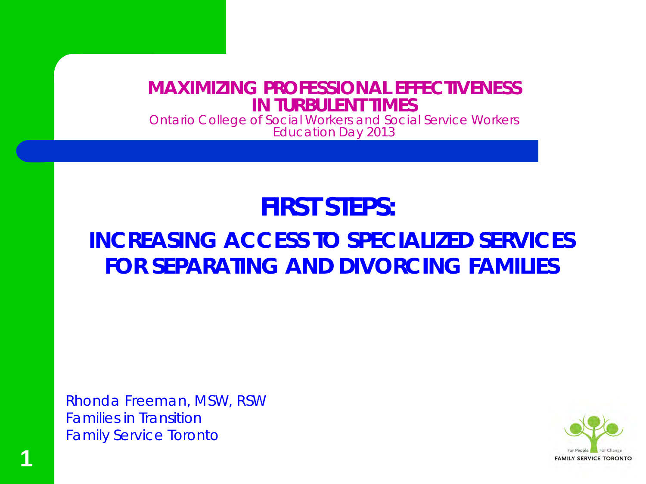#### **MAXIMIZING PROFESSIONAL EFFECTIVENESS IN TURBULENT TIMES**

Ontario College of Social Workers and Social Service Workers Education Day 2013

#### **FIRST STEPS:**

#### **INCREASING ACCESS TO SPECIALIZED SERVICES FOR SEPARATING AND DIVORCING FAMILIES**

Rhonda Freeman, MSW, RSW Families in Transition Family Service Toronto



**1**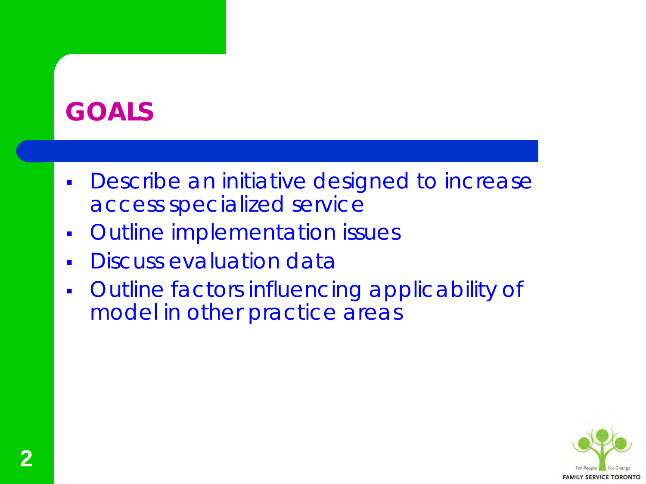## **GOALS**

- **Describe an initiative designed to increase** access specialized service
- **Outline implementation issues**
- Discuss evaluation data
- Outline factors influencing applicability of model in other practice areas

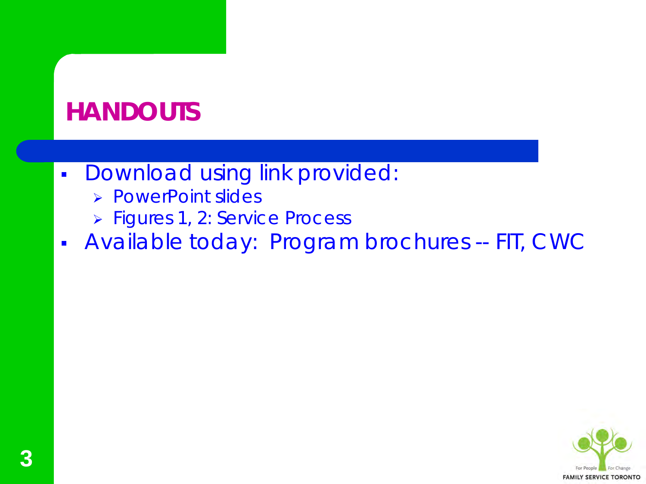## **HANDOUTS**

- **Download using link provided:** 
	- PowerPoint slides
	- > Figures 1, 2: Service Process
- Available today: Program brochures -- FIT, CWC

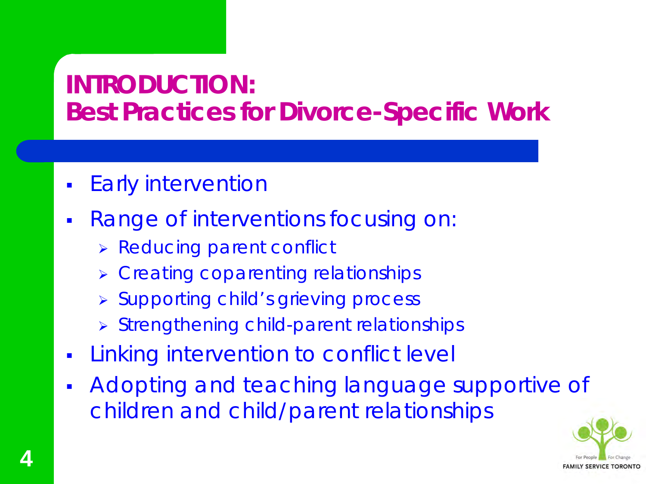## **INTRODUCTION: Best Practices for Divorce-Specific Work**

- Early intervention
- Range of interventions focusing on:
	- > Reducing parent conflict
	- **EXAGE Creating coparenting relationships**
	- **> Supporting child's grieving process**
	- Strengthening child-parent relationships
- **Example 12 retailer in the Vielon Example 1** Linking intervention to conflict level
- Adopting and teaching language supportive of children and child/parent relationships

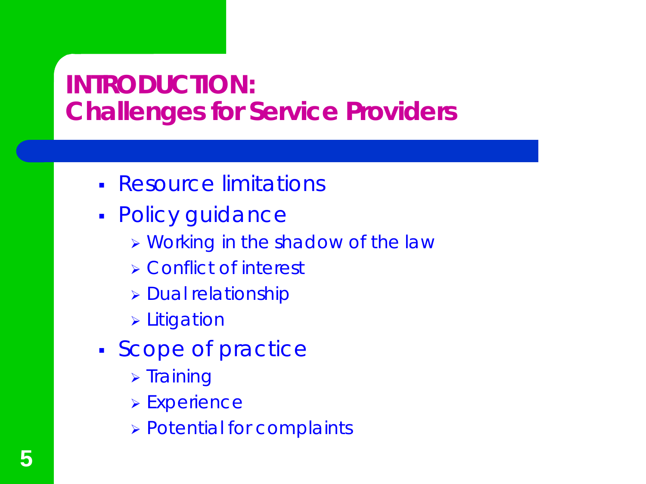## **INTRODUCTION: Challenges for Service Providers**

- Resource limitations
- Policy guidance
	- Working in *the shadow of the law*
	- Conflict of interest
	- **> Dual relationship**
	- **> Litigation**
- **Scope of practice** 
	- $\triangleright$  Training
	- Experience
	- Potential for complaints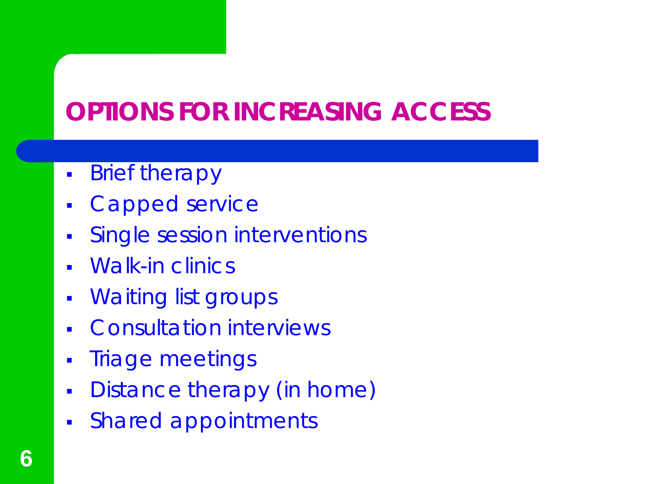# **OPTIONS FOR INCREASING ACCESS**

- **Brief therapy**
- Capped service
- **Single session interventions**
- Walk-in clinics
- **Waiting list groups**
- Consultation interviews
- **Triage meetings**
- **Distance therapy (in home)**
- Shared appointments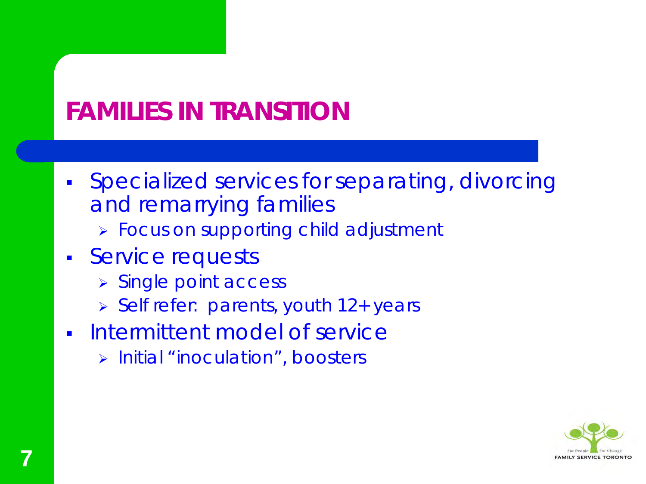# **FAMILIES IN TRANSITION**

- Specialized services for separating, divorcing and remarrying families
	- **> Focus on supporting child adjustment**
- **Service requests** 
	- > Single point access
	- Self refer: parents, youth 12+ years
- Intermittent model of service
	- > Initial "inoculation", boosters

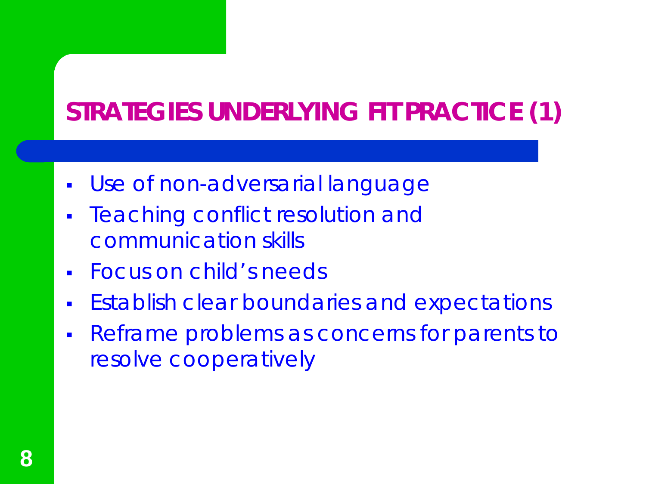# **STRATEGIES UNDERLYING FIT PRACTICE (1)**

- Use of non-adversarial language
- Teaching conflict resolution and communication skills
- Focus on child's needs
- **Establish clear boundaries and expectations**
- Reframe problems as concerns for parents to resolve cooperatively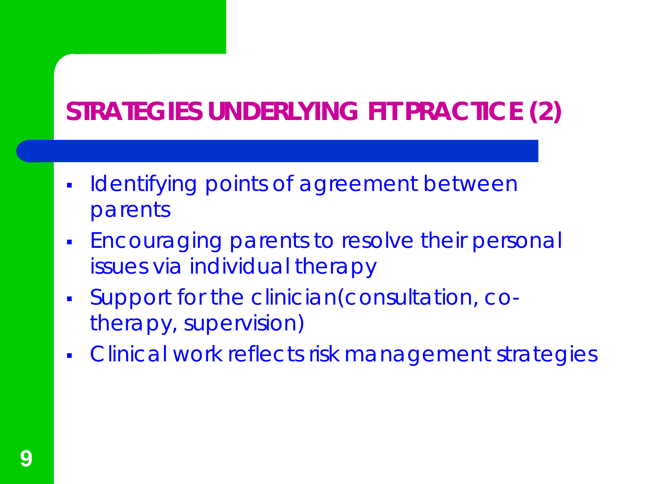# **STRATEGIES UNDERLYING FIT PRACTICE (2)**

- **IDENTIFYING POINTS OF AGET AND MANUTION IN THE INCREDIT THE INCREDITION** parents
- **Encouraging parents to resolve their personal** issues via individual therapy
- Support for the clinician(consultation, cotherapy, supervision)
- **Clinical work reflects risk management strategies**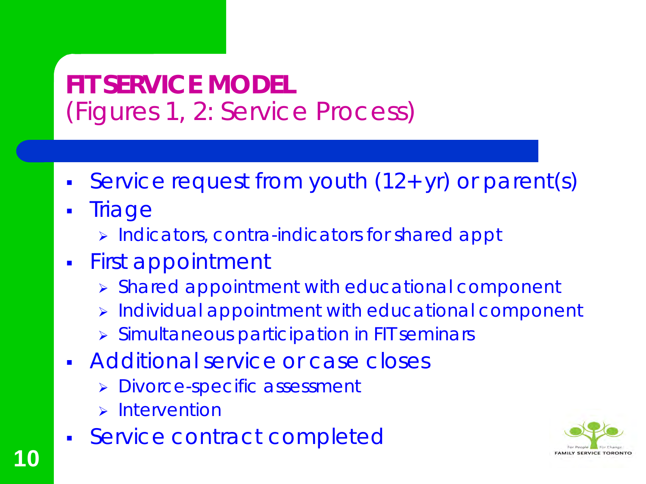## **FIT SERVICE MODEL**  (Figures 1, 2: Service Process)

- Service request from youth (12+ yr) or parent(s)
- Triage

**10**

- > Indicators, contra-indicators for shared appt
- First appointment
	- Shared appointment with educational component
	- Individual appointment with educational component
	- Simultaneous participation in FIT seminars
- **Additional service or case closes** 
	- **> Divorce-specific assessment**
	- $\triangleright$  Intervention
- **Service contract completed**

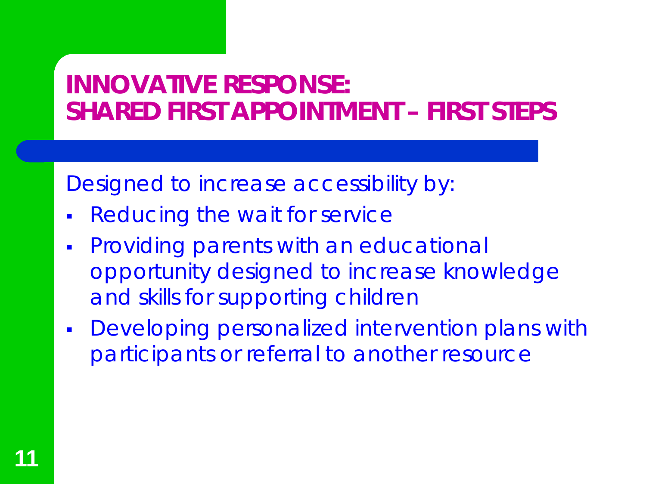## **INNOVATIVE RESPONSE: SHARED FIRST APPOINTMENT – FIRST STEPS**

Designed to increase accessibility by:

- Reducing the wait for service
- **Providing parents with an educational** opportunity designed to increase knowledge and skills for supporting children
- Developing personalized intervention plans with participants or referral to another resource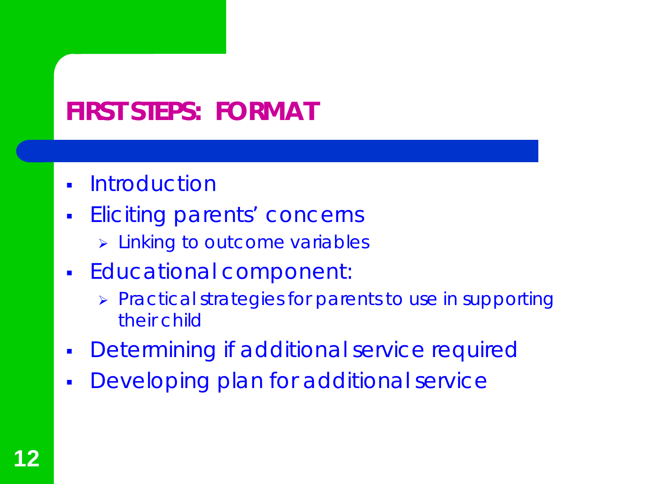## **FIRST STEPS: FORMAT**

- **-** Introduction
- **Eliciting parents' concerns** 
	- **> Linking to outcome variables**
- **Educational component:** 
	- > Practical strategies for parents to use in supporting their child
- Determining if additional service required
- Developing plan for additional service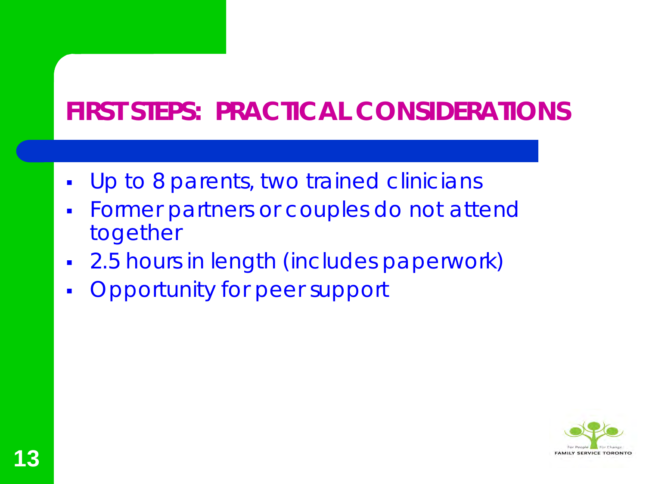## **FIRST STEPS: PRACTICAL CONSIDERATIONS**

- **Up to 8 parents, two trained clinicians**
- **Former partners or couples do not attend** together
- 2.5 hours in length (includes paperwork)
- Opportunity for peer support

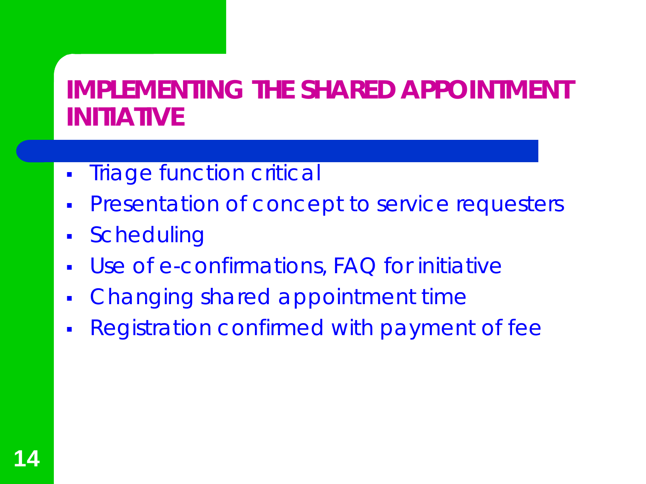#### **IMPLEMENTING THE SHARED APPOINTMENT INITIATIVE**

- **Triage function critical**
- **Presentation of concept to service requesters**
- Scheduling
- Use of e-confirmations, FAQ for initiative
- Changing shared appointment time
- Registration confirmed with payment of fee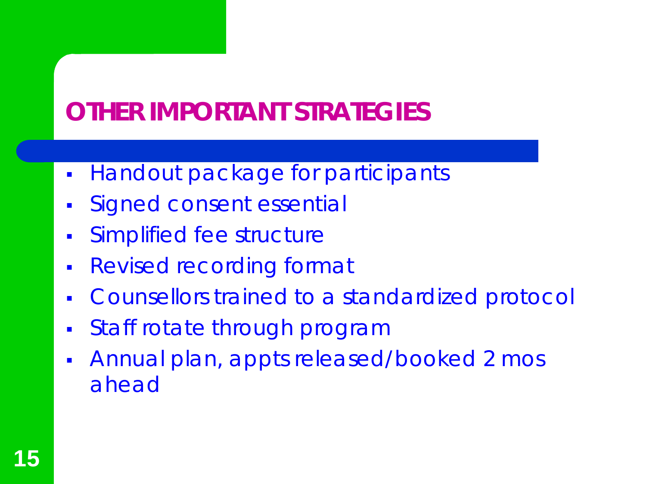## **OTHER IMPORTANT STRATEGIES**

- **Handout package for participants**
- Signed consent essential
- Simplified fee structure
- Revised recording format
- Counsellors trained to a standardized protocol
- Staff rotate through program
- Annual plan, appts released/booked 2 mos ahead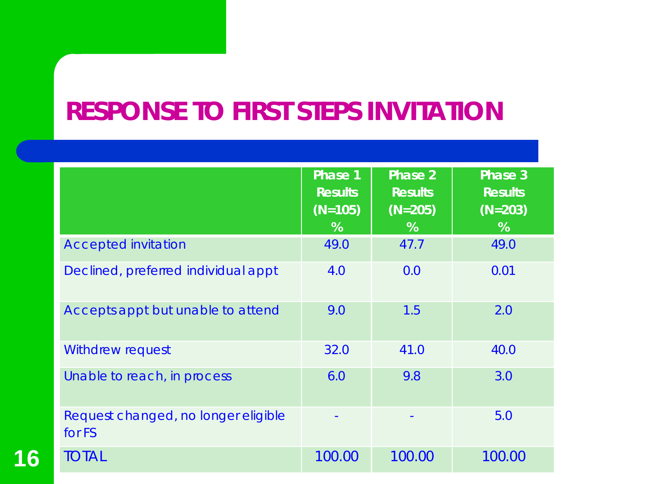## **RESPONSE TO FIRST STEPS INVITATION**

|                                               | <b>Phase 1</b><br><b>Results</b><br>$(N=105)$<br>% | Phase 2<br><b>Results</b><br>$(N=205)$<br>% | Phase 3<br><b>Results</b><br>$(N=203)$<br>% |
|-----------------------------------------------|----------------------------------------------------|---------------------------------------------|---------------------------------------------|
| <b>Accepted invitation</b>                    | 49.0                                               | 47.7                                        | 49.0                                        |
| Declined, preferred individual appt           | 4.0                                                | 0.0                                         | 0.01                                        |
| Accepts appt but unable to attend             | 9.0                                                | 1.5                                         | 2.0                                         |
| <b>Withdrew request</b>                       | 32.0                                               | 41.0                                        | 40.0                                        |
| Unable to reach, in process                   | 6.0                                                | 9.8                                         | 3.0                                         |
| Request changed, no longer eligible<br>for FS |                                                    |                                             | 5.0                                         |
| <b>TOTAL</b>                                  | 100.00                                             | 100.00                                      | 100.00                                      |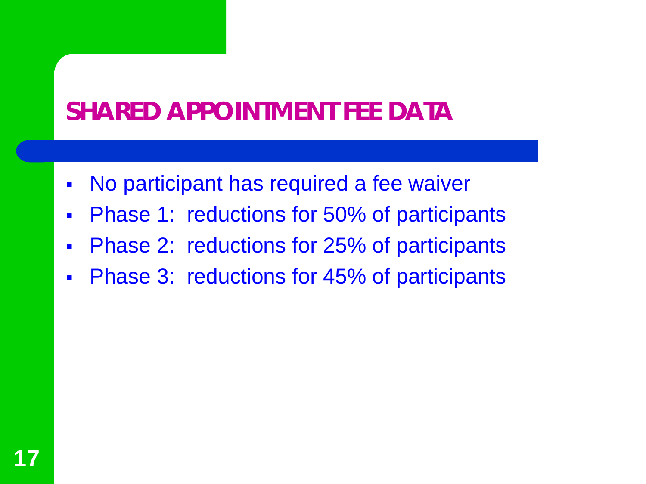## **SHARED APPOINTMENT FEE DATA**

- No participant has required a fee waiver
- **Phase 1: reductions for 50% of participants**
- Phase 2: reductions for 25% of participants
- **Phase 3: reductions for 45% of participants**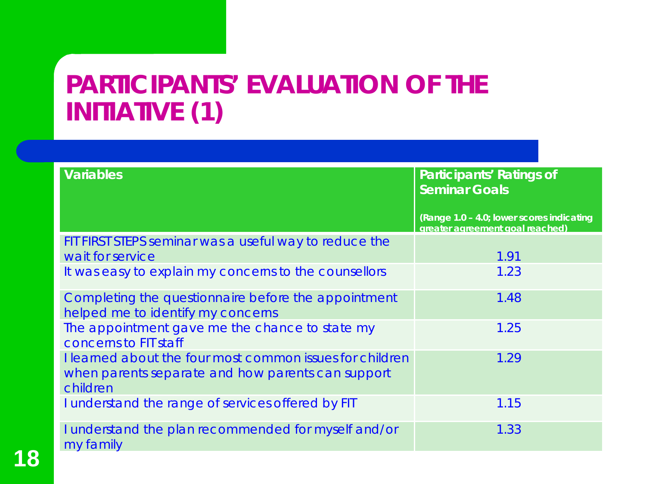#### **PARTICIPANTS' EVALUATION OF THE INITIATIVE (1)**

| <b>Variables</b>                                                                                                          | <b>Participants' Ratings of</b><br><b>Seminar Goals</b>                      |  |  |
|---------------------------------------------------------------------------------------------------------------------------|------------------------------------------------------------------------------|--|--|
|                                                                                                                           | (Range 1.0 - 4.0; lower scores indicating<br>greater agreement goal reached) |  |  |
| FIT FIRST STEPS seminar was a useful way to reduce the<br>wait for service                                                | 1.91                                                                         |  |  |
| It was easy to explain my concerns to the counsellors                                                                     | 1.23                                                                         |  |  |
| Completing the questionnaire before the appointment<br>helped me to identify my concerns                                  | 1.48                                                                         |  |  |
| The appointment gave me the chance to state my<br>concerns to FIT staff                                                   | 1.25                                                                         |  |  |
| I learned about the four most common issues for children<br>when parents separate and how parents can support<br>children | 1.29                                                                         |  |  |
| I understand the range of services offered by FIT                                                                         | 1.15                                                                         |  |  |
| I understand the plan recommended for myself and/or<br>my family                                                          | 1.33                                                                         |  |  |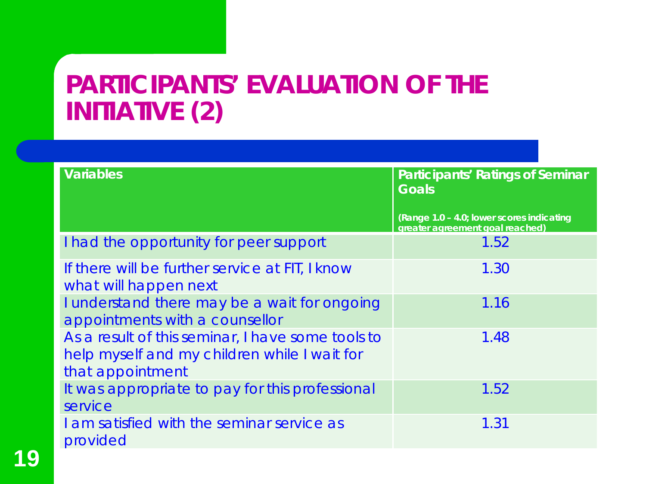#### **PARTICIPANTS' EVALUATION OF THE INITIATIVE (2)**

| <b>Variables</b>                                                                                                      | <b>Participants' Ratings of Seminar</b>                                      |
|-----------------------------------------------------------------------------------------------------------------------|------------------------------------------------------------------------------|
|                                                                                                                       | <b>Goals</b>                                                                 |
|                                                                                                                       | (Range 1.0 - 4.0; lower scores indicating<br>greater agreement goal reached) |
| I had the opportunity for peer support                                                                                | 1.52                                                                         |
| If there will be further service at FIT, I know<br>what will happen next                                              | 1.30                                                                         |
| I understand there may be a wait for ongoing<br>appointments with a counsellor                                        | 1.16                                                                         |
| As a result of this seminar, I have some tools to<br>help myself and my children while I wait for<br>that appointment | 1.48                                                                         |
| It was appropriate to pay for this professional<br>service                                                            | 1.52                                                                         |
| I am satisfied with the seminar service as<br>provided                                                                | 1.31                                                                         |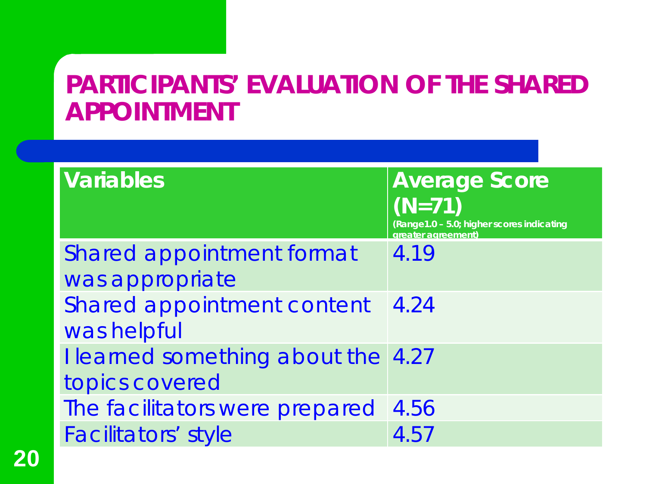#### **PARTICIPANTS' EVALUATION OF THE SHARED APPOINTMENT**

| <b>Variables</b>                   | <b>Average Score</b><br>$(N=71)$<br>(Range1.0 - 5.0; higher scores indicating<br>greater agreement) |
|------------------------------------|-----------------------------------------------------------------------------------------------------|
| Shared appointment format          | 4.19                                                                                                |
| was appropriate                    |                                                                                                     |
| Shared appointment content         | 4.24                                                                                                |
| was helpful                        |                                                                                                     |
| I learned something about the 4.27 |                                                                                                     |
| topics covered                     |                                                                                                     |
| The facilitators were prepared     | 4.56                                                                                                |
| <b>Facilitators' style</b>         | 4.57                                                                                                |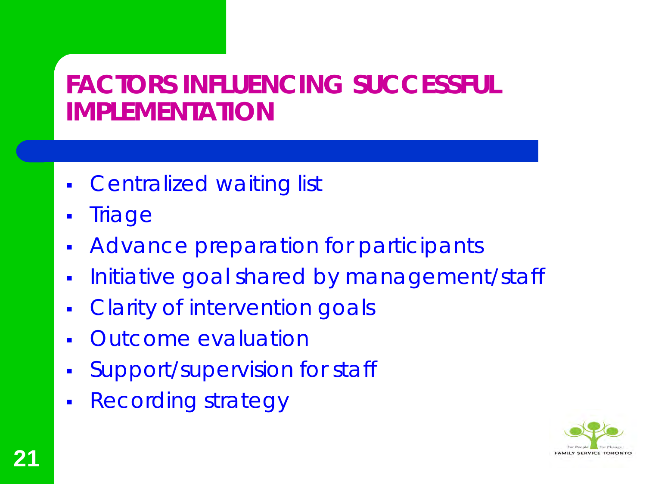## **FACTORS INFLUENCING SUCCESSFUL IMPLEMENTATION**

- **Centralized waiting list**
- **Triage**
- **Advance preparation for participants**
- **Initiative goal shared by management/staff**
- **Clarity of intervention goals**
- Outcome evaluation
- Support/supervision for staff
- Recording strategy

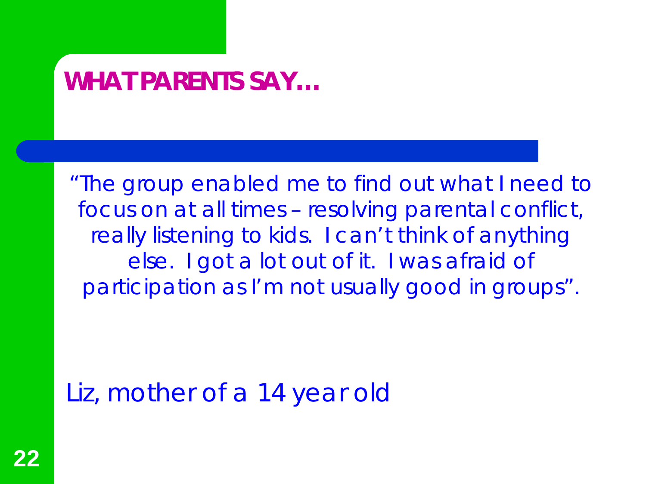#### **WHAT PARENTS SAY…**

"The group enabled me to find out what I need to focus on at all times – resolving parental conflict, really listening to kids. I can't think of anything else. I got a lot out of it. I was afraid of participation as I'm not usually good in groups".

Liz, mother of a 14 year old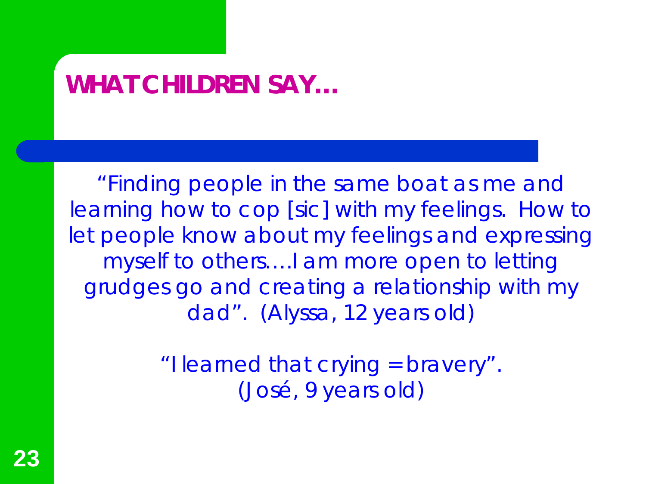## **WHAT CHILDREN SAY…**

"Finding people in the same boat as me and learning how to cop [sic] with my feelings. How to let people know about my feelings and expressing myself to others….I am more open to letting grudges go and creating a relationship with my dad". (Alyssa, 12 years old)

> "I learned that crying = bravery". (José, 9 years old)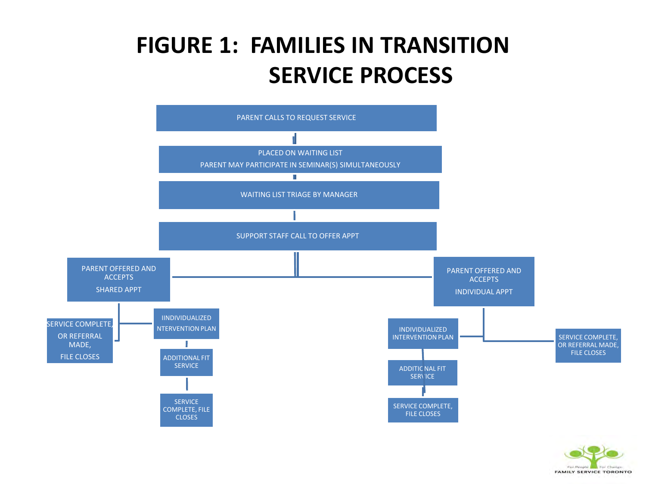#### **FIGURE 1: FAMILIES IN TRANSITION SERVICE PROCESS**